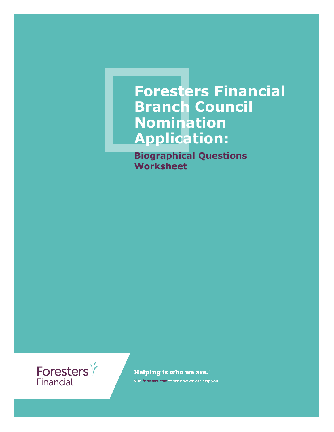## **Foresters Financial Branch Council Nomination Application:**

**Biographical Questions Worksheet**



**Helping is who we are."** 

Visit foresters.com to see how we can help you.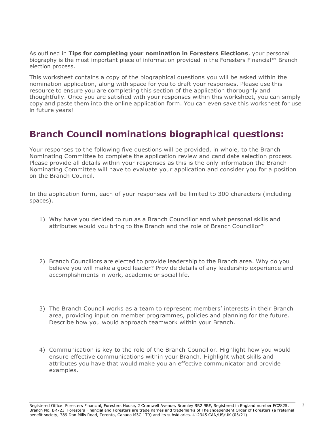As outlined in **Tips for completing your nomination in Foresters Elections**, your personal biography is the most important piece of information provided in the Foresters Financial™ Branch election process.

This worksheet contains a copy of the biographical questions you will be asked within the nomination application, along with space for you to draft your responses. Please use this resource to ensure you are completing this section of the application thoroughly and thoughtfully. Once you are satisfied with your responses within this worksheet, you can simply copy and paste them into the online application form. You can even save this worksheet for use in future years!

## **Branch Council nominations biographical questions:**

Your responses to the following five questions will be provided, in whole, to the Branch Nominating Committee to complete the application review and candidate selection process. Please provide all details within your responses as this is the only information the Branch Nominating Committee will have to evaluate your application and consider you for a position on the Branch Council.

In the application form, each of your responses will be limited to 300 characters (including spaces).

- 1) Why have you decided to run as a Branch Councillor and what personal skills and attributes would you bring to the Branch and the role of Branch Councillor?
- 2) Branch Councillors are elected to provide leadership to the Branch area. Why do you believe you will make a good leader? Provide details of any leadership experience and accomplishments in work, academic or social life.
- 3) The Branch Council works as a team to represent members' interests in their Branch area, providing input on member programmes, policies and planning for the future. Describe how you would approach teamwork within your Branch.
- 4) Communication is key to the role of the Branch Councillor. Highlight how you would ensure effective communications within your Branch. Highlight what skills and attributes you have that would make you an effective communicator and provide examples.

2